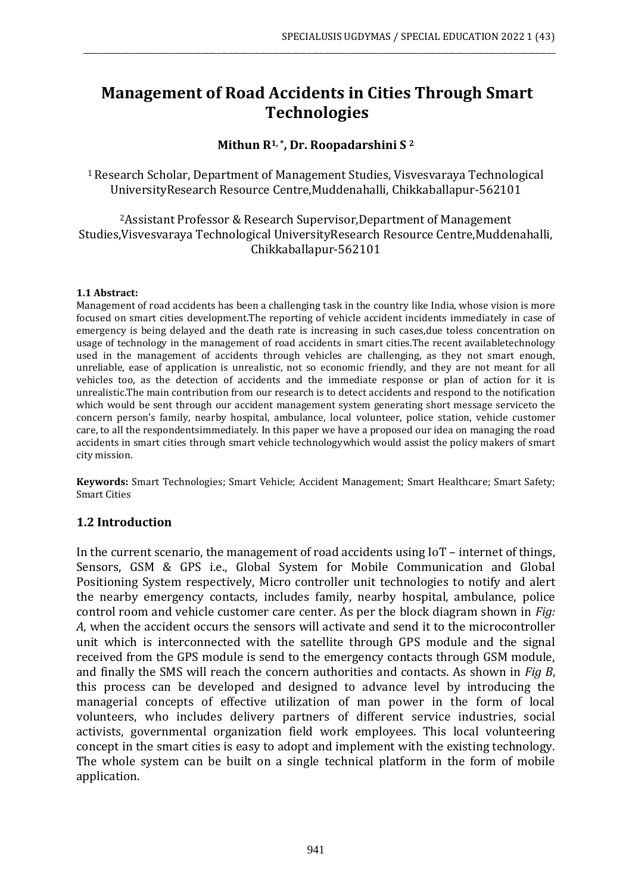# **Management of Road Accidents in Cities Through Smart Technologies**

\_\_\_\_\_\_\_\_\_\_\_\_\_\_\_\_\_\_\_\_\_\_\_\_\_\_\_\_\_\_\_\_\_\_\_\_\_\_\_\_\_\_\_\_\_\_\_\_\_\_\_\_\_\_\_\_\_\_\_\_\_\_\_\_\_\_\_\_\_\_\_\_\_\_\_\_\_\_\_\_\_\_\_\_\_\_\_\_\_\_\_\_\_\_\_\_\_\_\_\_\_\_\_\_\_\_\_\_\_\_\_\_\_\_\_\_\_\_\_\_

## **Mithun R1, \*, Dr. Roopadarshini S <sup>2</sup>**

<sup>1</sup>Research Scholar, Department of Management Studies, Visvesvaraya Technological UniversityResearch Resource Centre,Muddenahalli, Chikkaballapur-562101

<sup>2</sup>Assistant Professor & Research Supervisor,Department of Management Studies,Visvesvaraya Technological UniversityResearch Resource Centre,Muddenahalli, Chikkaballapur-562101

#### **1.1 Abstract:**

Management of road accidents has been a challenging task in the country like India, whose vision is more focused on smart cities development.The reporting of vehicle accident incidents immediately in case of emergency is being delayed and the death rate is increasing in such cases,due toless concentration on usage of technology in the management of road accidents in smart cities.The recent availabletechnology used in the management of accidents through vehicles are challenging, as they not smart enough, unreliable, ease of application is unrealistic, not so economic friendly, and they are not meant for all vehicles too, as the detection of accidents and the immediate response or plan of action for it is unrealistic.The main contribution from our research is to detect accidents and respond to the notification which would be sent through our accident management system generating short message serviceto the concern person's family, nearby hospital, ambulance, local volunteer, police station, vehicle customer care, to all the respondentsimmediately. In this paper we have a proposed our idea on managing the road accidents in smart cities through smart vehicle technologywhich would assist the policy makers of smart city mission.

**Keywords:** Smart Technologies; Smart Vehicle; Accident Management; Smart Healthcare; Smart Safety; Smart Cities

#### **1.2 Introduction**

In the current scenario, the management of road accidents using IoT – internet of things, Sensors, GSM & GPS i.e., Global System for Mobile Communication and Global Positioning System respectively, Micro controller unit technologies to notify and alert the nearby emergency contacts, includes family, nearby hospital, ambulance, police control room and vehicle customer care center. As per the block diagram shown in *Fig: A*, when the accident occurs the sensors will activate and send it to the microcontroller unit which is interconnected with the satellite through GPS module and the signal received from the GPS module is send to the emergency contacts through GSM module, and finally the SMS will reach the concern authorities and contacts. As shown in *Fig B*, this process can be developed and designed to advance level by introducing the managerial concepts of effective utilization of man power in the form of local volunteers, who includes delivery partners of different service industries, social activists, governmental organization field work employees. This local volunteering concept in the smart cities is easy to adopt and implement with the existing technology. The whole system can be built on a single technical platform in the form of mobile application.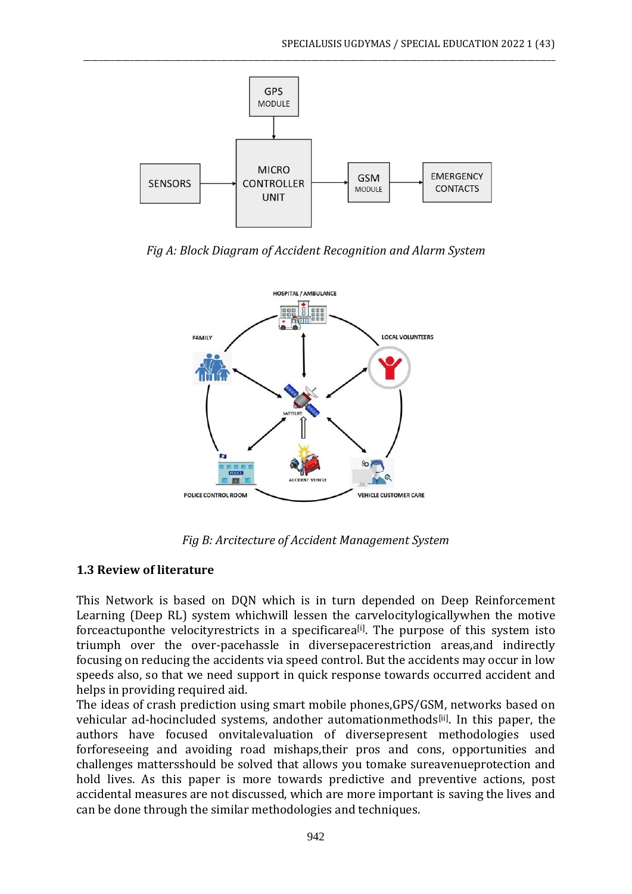

\_\_\_\_\_\_\_\_\_\_\_\_\_\_\_\_\_\_\_\_\_\_\_\_\_\_\_\_\_\_\_\_\_\_\_\_\_\_\_\_\_\_\_\_\_\_\_\_\_\_\_\_\_\_\_\_\_\_\_\_\_\_\_\_\_\_\_\_\_\_\_\_\_\_\_\_\_\_\_\_\_\_\_\_\_\_\_\_\_\_\_\_\_\_\_\_\_\_\_\_\_\_\_\_\_\_\_\_\_\_\_\_\_\_\_\_\_\_\_\_

*Fig A: Block Diagram of Accident Recognition and Alarm System*



*Fig B: Arcitecture of Accident Management System*

# **1.3 Review of literature**

This Network is based on DQN which is in turn depended on Deep Reinforcement Learning (Deep RL) system whichwill lessen the carvelocitylogicallywhen the motive forceactuponthe velocityrestricts in a specificarea<sup>[i]</sup>. The purpose of this system isto triumph over the over-pacehassle in diversepacerestriction areas,and indirectly focusing on reducing the accidents via speed control. But the accidents may occur in low speeds also, so that we need support in quick response towards occurred accident and helps in providing required aid.

The ideas of crash prediction using smart mobile phones,GPS/GSM, networks based on vehicular ad-hocincluded systems, andother automationmethods<sup>[ii]</sup>. In this paper, the authors have focused onvitalevaluation of diversepresent methodologies used forforeseeing and avoiding road mishaps,their pros and cons, opportunities and challenges mattersshould be solved that allows you tomake sureavenueprotection and hold lives. As this paper is more towards predictive and preventive actions, post accidental measures are not discussed, which are more important is saving the lives and can be done through the similar methodologies and techniques.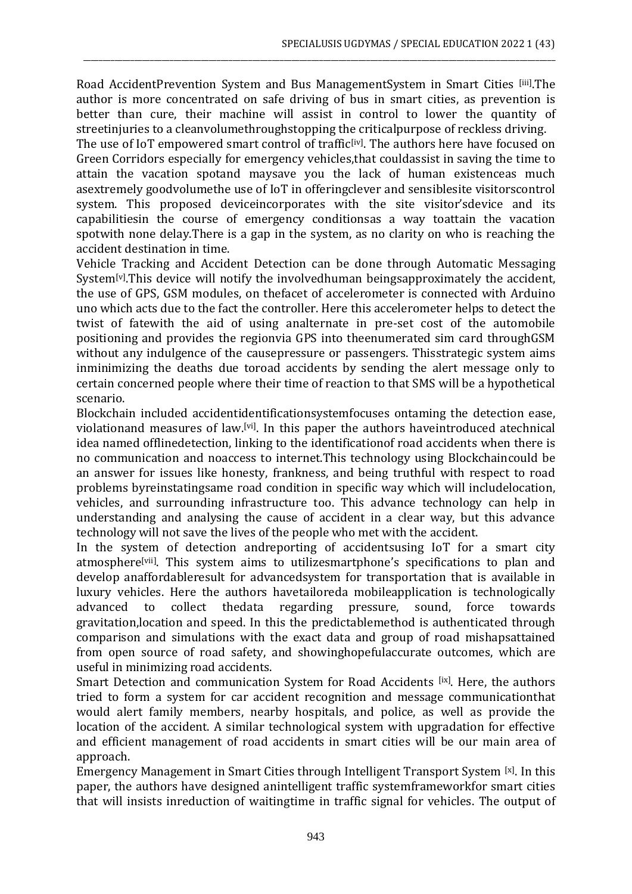Road AccidentPrevention System and Bus ManagementSystem in Smart Cities [iii]. The author is more concentrated on safe driving of bus in smart cities, as prevention is better than cure, their machine will assist in control to lower the quantity of streetinjuries to a cleanvolumethroughstopping the criticalpurpose of reckless driving.

\_\_\_\_\_\_\_\_\_\_\_\_\_\_\_\_\_\_\_\_\_\_\_\_\_\_\_\_\_\_\_\_\_\_\_\_\_\_\_\_\_\_\_\_\_\_\_\_\_\_\_\_\_\_\_\_\_\_\_\_\_\_\_\_\_\_\_\_\_\_\_\_\_\_\_\_\_\_\_\_\_\_\_\_\_\_\_\_\_\_\_\_\_\_\_\_\_\_\_\_\_\_\_\_\_\_\_\_\_\_\_\_\_\_\_\_\_\_\_\_

The use of IoT empowered smart control of traffic<sup>[iv]</sup>. The authors here have focused on Green Corridors especially for emergency vehicles,that couldassist in saving the time to attain the vacation spotand maysave you the lack of human existenceas much asextremely goodvolumethe use of IoT in offeringclever and sensiblesite visitorscontrol system. This proposed deviceincorporates with the site visitor'sdevice and its capabilitiesin the course of emergency conditionsas a way toattain the vacation spotwith none delay.There is a gap in the system, as no clarity on who is reaching the accident destination in time.

Vehicle Tracking and Accident Detection can be done through Automatic Messaging System<sup>[v]</sup>. This device will notify the involvedhuman beingsapproximately the accident, the use of GPS, GSM modules, on thefacet of accelerometer is connected with Arduino uno which acts due to the fact the controller. Here this accelerometer helps to detect the twist of fatewith the aid of using analternate in pre-set cost of the automobile positioning and provides the regionvia GPS into theenumerated sim card throughGSM without any indulgence of the causepressure or passengers. Thisstrategic system aims inminimizing the deaths due toroad accidents by sending the alert message only to certain concerned people where their time of reaction to that SMS will be a hypothetical scenario.

Blockchain included accidentidentificationsystemfocuses ontaming the detection ease, violationand measures of law.<sup>[vi]</sup>. In this paper the authors haveintroduced atechnical idea named offlinedetection, linking to the identificationof road accidents when there is no communication and noaccess to internet.This technology using Blockchaincould be an answer for issues like honesty, frankness, and being truthful with respect to road problems byreinstatingsame road condition in specific way which will includelocation, vehicles, and surrounding infrastructure too. This advance technology can help in understanding and analysing the cause of accident in a clear way, but this advance technology will not save the lives of the people who met with the accident.

In the system of detection andreporting of accidentsusing IoT for a smart city atmosphere<sup>[vii]</sup>. This system aims to utilizesmartphone's specifications to plan and develop anaffordableresult for advancedsystem for transportation that is available in luxury vehicles. Here the authors havetailoreda mobileapplication is technologically advanced to collect thedata regarding pressure, sound, force towards gravitation,location and speed. In this the predictablemethod is authenticated through comparison and simulations with the exact data and group of road mishapsattained from open source of road safety, and showinghopefulaccurate outcomes, which are useful in minimizing road accidents.

Smart Detection and communication System for Road Accidents [ix]. Here, the authors tried to form a system for car accident recognition and message communicationthat would alert family members, nearby hospitals, and police, as well as provide the location of the accident. A similar technological system with upgradation for effective and efficient management of road accidents in smart cities will be our main area of approach.

Emergency Management in Smart Cities through Intelligent Transport System [x]. In this paper, the authors have designed anintelligent traffic systemframeworkfor smart cities that will insists inreduction of waitingtime in traffic signal for vehicles. The output of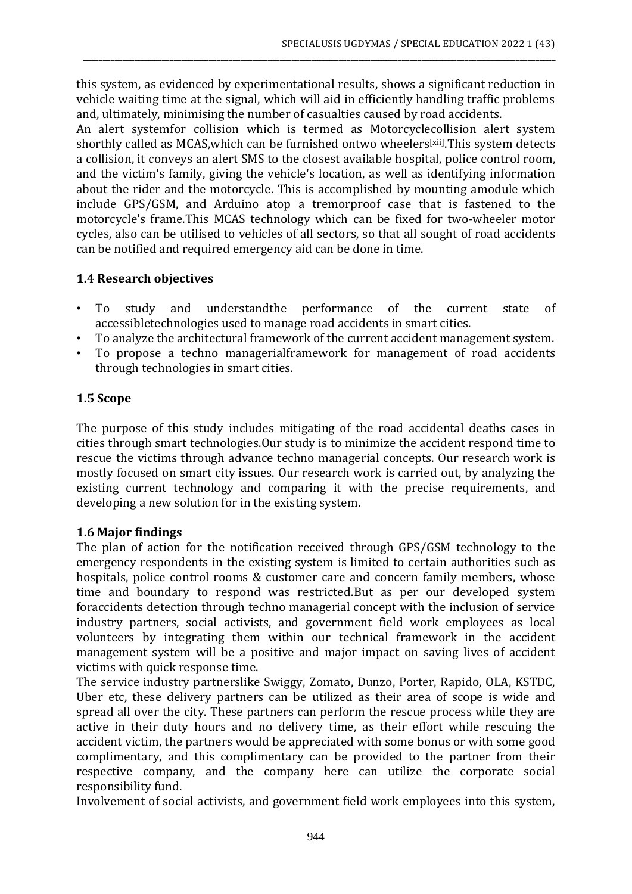this system, as evidenced by experimentational results, shows a significant reduction in vehicle waiting time at the signal, which will aid in efficiently handling traffic problems and, ultimately, minimising the number of casualties caused by road accidents.

\_\_\_\_\_\_\_\_\_\_\_\_\_\_\_\_\_\_\_\_\_\_\_\_\_\_\_\_\_\_\_\_\_\_\_\_\_\_\_\_\_\_\_\_\_\_\_\_\_\_\_\_\_\_\_\_\_\_\_\_\_\_\_\_\_\_\_\_\_\_\_\_\_\_\_\_\_\_\_\_\_\_\_\_\_\_\_\_\_\_\_\_\_\_\_\_\_\_\_\_\_\_\_\_\_\_\_\_\_\_\_\_\_\_\_\_\_\_\_\_

An alert systemfor collision which is termed as Motorcyclecollision alert system shorthly called as MCAS, which can be furnished ontwo wheelers<sup>[xii]</sup>. This system detects a collision, it conveys an alert SMS to the closest available hospital, police control room, and the victim's family, giving the vehicle's location, as well as identifying information about the rider and the motorcycle. This is accomplished by mounting amodule which include GPS/GSM, and Arduino atop a tremorproof case that is fastened to the motorcycle's frame.This MCAS technology which can be fixed for two-wheeler motor cycles, also can be utilised to vehicles of all sectors, so that all sought of road accidents can be notified and required emergency aid can be done in time.

# **1.4 Research objectives**

- To study and understandthe performance of the current state of accessibletechnologies used to manage road accidents in smart cities.
- To analyze the architectural framework of the current accident management system.
- To propose a techno managerialframework for management of road accidents through technologies in smart cities.

# **1.5 Scope**

The purpose of this study includes mitigating of the road accidental deaths cases in cities through smart technologies.Our study is to minimize the accident respond time to rescue the victims through advance techno managerial concepts. Our research work is mostly focused on smart city issues. Our research work is carried out, by analyzing the existing current technology and comparing it with the precise requirements, and developing a new solution for in the existing system.

# **1.6 Major findings**

The plan of action for the notification received through GPS/GSM technology to the emergency respondents in the existing system is limited to certain authorities such as hospitals, police control rooms & customer care and concern family members, whose time and boundary to respond was restricted.But as per our developed system foraccidents detection through techno managerial concept with the inclusion of service industry partners, social activists, and government field work employees as local volunteers by integrating them within our technical framework in the accident management system will be a positive and major impact on saving lives of accident victims with quick response time.

The service industry partnerslike Swiggy, Zomato, Dunzo, Porter, Rapido, OLA, KSTDC, Uber etc, these delivery partners can be utilized as their area of scope is wide and spread all over the city. These partners can perform the rescue process while they are active in their duty hours and no delivery time, as their effort while rescuing the accident victim, the partners would be appreciated with some bonus or with some good complimentary, and this complimentary can be provided to the partner from their respective company, and the company here can utilize the corporate social responsibility fund.

Involvement of social activists, and government field work employees into this system,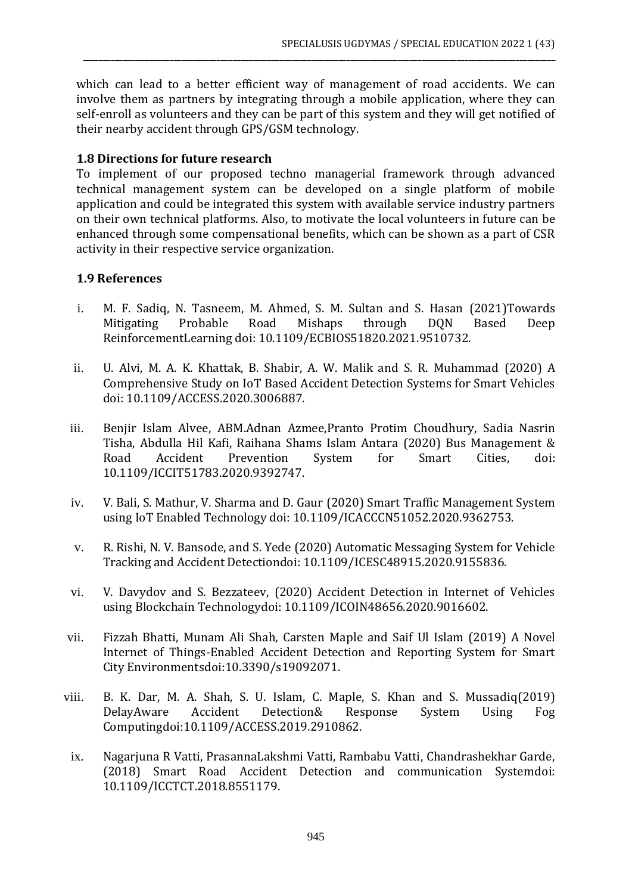which can lead to a better efficient way of management of road accidents. We can involve them as partners by integrating through a mobile application, where they can self-enroll as volunteers and they can be part of this system and they will get notified of their nearby accident through GPS/GSM technology.

\_\_\_\_\_\_\_\_\_\_\_\_\_\_\_\_\_\_\_\_\_\_\_\_\_\_\_\_\_\_\_\_\_\_\_\_\_\_\_\_\_\_\_\_\_\_\_\_\_\_\_\_\_\_\_\_\_\_\_\_\_\_\_\_\_\_\_\_\_\_\_\_\_\_\_\_\_\_\_\_\_\_\_\_\_\_\_\_\_\_\_\_\_\_\_\_\_\_\_\_\_\_\_\_\_\_\_\_\_\_\_\_\_\_\_\_\_\_\_\_

## **1.8 Directions for future research**

To implement of our proposed techno managerial framework through advanced technical management system can be developed on a single platform of mobile application and could be integrated this system with available service industry partners on their own technical platforms. Also, to motivate the local volunteers in future can be enhanced through some compensational benefits, which can be shown as a part of CSR activity in their respective service organization.

# **1.9 References**

- i. M. F. Sadiq, N. Tasneem, M. Ahmed, S. M. Sultan and S. Hasan (2021)Towards Mitigating Probable Road Mishaps through DQN Based Deep ReinforcementLearning doi: 10.1109/ECBIOS51820.2021.9510732.
- ii. U. Alvi, M. A. K. Khattak, B. Shabir, A. W. Malik and S. R. Muhammad (2020) A Comprehensive Study on IoT Based Accident Detection Systems for Smart Vehicles doi: 10.1109/ACCESS.2020.3006887.
- iii. Benjir Islam Alvee, ABM.Adnan Azmee,Pranto Protim Choudhury, Sadia Nasrin Tisha, Abdulla Hil Kafi, Raihana Shams Islam Antara (2020) Bus Management & Road Accident Prevention System for Smart Cities, doi: 10.1109/ICCIT51783.2020.9392747.
- iv. V. Bali, S. Mathur, V. Sharma and D. Gaur (2020) Smart Traffic Management System using IoT Enabled Technology doi: 10.1109/ICACCCN51052.2020.9362753.
- v. R. Rishi, N. V. Bansode, and S. Yede (2020) Automatic Messaging System for Vehicle Tracking and Accident Detectiondoi: 10.1109/ICESC48915.2020.9155836.
- vi. V. Davydov and S. Bezzateev, (2020) Accident Detection in Internet of Vehicles using Blockchain Technologydoi: 10.1109/ICOIN48656.2020.9016602.
- vii. Fizzah Bhatti, Munam Ali Shah, Carsten Maple and Saif Ul Islam (2019) A Novel Internet of Things-Enabled Accident Detection and Reporting System for Smart City Environmentsdoi:10.3390/s19092071.
- viii. B. K. Dar, M. A. Shah, S. U. Islam, C. Maple, S. Khan and S. Mussadiq(2019) DelayAware Accident Detection& Response System Using Fog Computingdoi:10.1109/ACCESS.2019.2910862.
	- ix. Nagarjuna R Vatti, PrasannaLakshmi Vatti, Rambabu Vatti, Chandrashekhar Garde, (2018) Smart Road Accident Detection and communication Systemdoi: [10.1109/ICCTCT.2018.8551179.](http://dx.doi.org/10.1109/ICCTCT.2018.8551179)